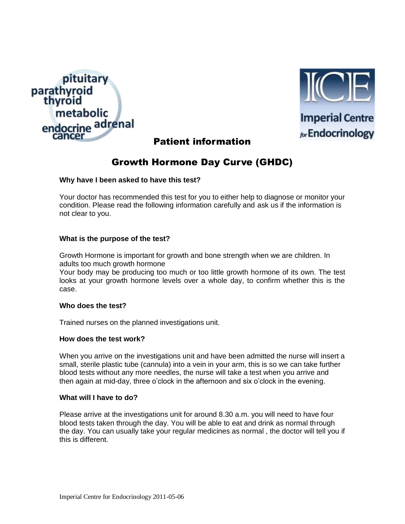



**Imperial Centre** for Endocrinology

# Patient information

# Growth Hormone Day Curve (GHDC)

## **Why have I been asked to have this test?**

Your doctor has recommended this test for you to either help to diagnose or monitor your condition. Please read the following information carefully and ask us if the information is not clear to you.

## **What is the purpose of the test?**

Growth Hormone is important for growth and bone strength when we are children. In adults too much growth hormone

Your body may be producing too much or too little growth hormone of its own. The test looks at your growth hormone levels over a whole day, to confirm whether this is the case.

#### **Who does the test?**

Trained nurses on the planned investigations unit.

#### **How does the test work?**

When you arrive on the investigations unit and have been admitted the nurse will insert a small, sterile plastic tube (cannula) into a vein in your arm, this is so we can take further blood tests without any more needles, the nurse will take a test when you arrive and then again at mid-day, three o'clock in the afternoon and six o'clock in the evening.

## **What will I have to do?**

Please arrive at the investigations unit for around 8.30 a.m. you will need to have four blood tests taken through the day. You will be able to eat and drink as normal through the day. You can usually take your regular medicines as normal , the doctor will tell you if this is different.